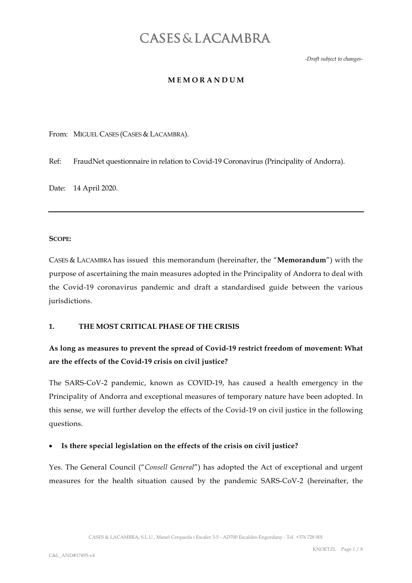-Draft subject to changes-

#### **MEMORANDUM**

From: MIGUEL CASES (CASES & LACAMBRA).

Ref: FraudNet questionnaire in relation to Covid-19 Coronavirus (Principality of Andorra).

Date: 14 April 2020.

#### SCOPE:

CASES & LACAMBRA has issued this memorandum (hereinafter, the "Memorandum") with the purpose of ascertaining the main measures adopted in the Principality of Andorra to deal with the Covid-19 coronavirus pandemic and draft a standardised guide between the various jurisdictions.

#### 1. THE MOST CRITICAL PHASE OF THE CRISIS

## As long as measures to prevent the spread of Covid-19 restrict freedom of movement: What are the effects of the Covid-19 crisis on civil justice?

The SARS-CoV-2 pandemic, known as COVID-19, has caused a health emergency in the Principality of Andorra and exceptional measures of temporary nature have been adopted. In this sense, we will further develop the effects of the Covid-19 on civil justice in the following questions.

#### Is there special legislation on the effects of the crisis on civil justice?

Yes. The General Council ("Consell General") has adopted the Act of exceptional and urgent measures for the health situation caused by the pandemic SARS-CoV-2 (hereinafter, the

CASES & LACAMBRA, S.L.U., Manel Cerqueda i Escaler 3-5 - AD700 Escaldes-Engordany - Tel. +376 728 001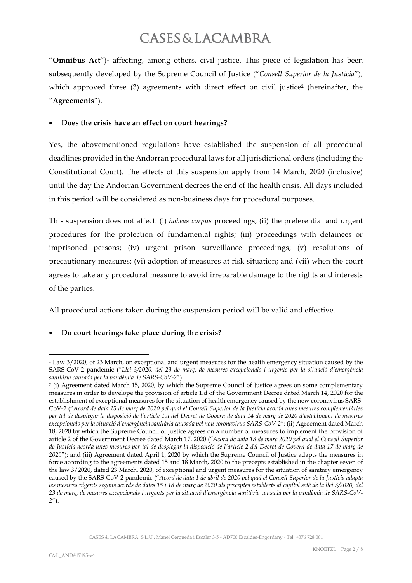"Omnibus Act")<sup>1</sup> affecting, among others, civil justice. This piece of legislation has been subsequently developed by the Supreme Council of Justice ("Consell Superior de la Justícia"), which approved three (3) agreements with direct effect on civil justice<sup>2</sup> (hereinafter, the "Agreements").

#### Does the crisis have an effect on court hearings?

Yes, the abovementioned regulations have established the suspension of all procedural deadlines provided in the Andorran procedural laws for all jurisdictional orders (including the Constitutional Court). The effects of this suspension apply from 14 March, 2020 (inclusive) until the day the Andorran Government decrees the end of the health crisis. All days included in this period will be considered as non-business days for procedural purposes.

This suspension does not affect: (i) habeas corpus proceedings; (ii) the preferential and urgent procedures for the protection of fundamental rights; (iii) proceedings with detainees or imprisoned persons; (iv) urgent prison surveillance proceedings; (v) resolutions of precautionary measures; (vi) adoption of measures at risk situation; and (vii) when the court agrees to take any procedural measure to avoid irreparable damage to the rights and interests of the parties.

All procedural actions taken during the suspension period will be valid and effective.

### Do court hearings take place during the crisis?

<sup>1</sup> Law 3/2020, of 23 March, on exceptional and urgent measures for the health emergency situation caused by the SARS-CoV-2 pandemic ("Llei 3/2020, del 23 de març, de mesures excepcionals i urgents per la situació d'emergència sanitària causada per la pandèmia de SARS-CoV-2").

<sup>2</sup> (i) Agreement dated March 15, 2020, by which the Supreme Council of Justice agrees on some complementary measures in order to develope the provision of article 1.d of the Government Decree dated March 14, 2020 for the establishment of exceptional measures for the situation of health emergency caused by the new coronavirus SARS-CoV-2 ("Acord de data 15 de març de 2020 pel qual el Consell Superior de la Justícia acorda unes mesures complementàries per tal de desplegar la disposició de l'article 1.d del Decret de Govern de data 14 de març de 2020 d'establiment de mesures excepcionals per la situació d'emergència sanitària causada pel nou coronavirus SARS-CoV-2"; (ii) Agreement dated March 18, 2020 by which the Supreme Council of Justice agrees on a number of measures to implement the provision of article 2 of the Government Decree dated March 17, 2020 ("Acord de data 18 de març 2020 pel qual el Consell Superior de Justícia acorda unes mesures per tal de desplegar la disposició de l'article 2 del Decret de Govern de data 17 de març de 2020"); and (iii) Agreement dated April 1, 2020 by which the Supreme Council of Justice adapts the measures in force according to the agreements dated 15 and 18 March, 2020 to the precepts established in the chapter seven of the law 3/2020, dated 23 March, 2020, of exceptional and urgent measures for the situation of sanitary emergency caused by the SARS-CoV-2 pandemic ("Acord de data 1 de abril de 2020 pel qual el Consell Superior de la Justícia adapta les mesures vigents segons acords de dates 15 i 18 de març de 2020 als preceptes establerts al capítol setè de la llei 3/2020, del 23 de març, de mesures excepcionals i urgents per la situació d'emergència sanitària causada per la pandèmia de SARS-CoV- $2'$ ).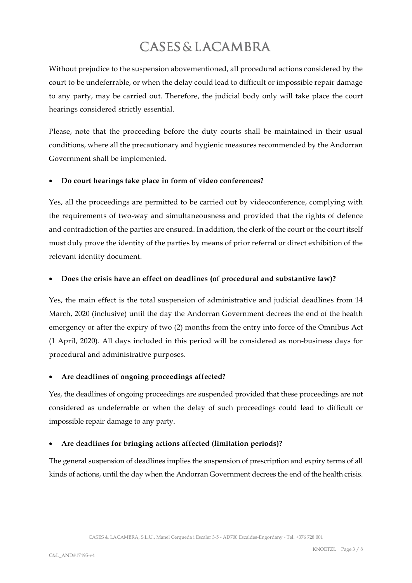Without prejudice to the suspension abovementioned, all procedural actions considered by the court to be undeferrable, or when the delay could lead to difficult or impossible repair damage to any party, may be carried out. Therefore, the judicial body only will take place the court hearings considered strictly essential.

Please, note that the proceeding before the duty courts shall be maintained in their usual conditions, where all the precautionary and hygienic measures recommended by the Andorran Government shall be implemented.

### Do court hearings take place in form of video conferences?

Yes, all the proceedings are permitted to be carried out by videoconference, complying with the requirements of two-way and simultaneousness and provided that the rights of defence and contradiction of the parties are ensured. In addition, the clerk of the court or the court itself must duly prove the identity of the parties by means of prior referral or direct exhibition of the relevant identity document.

#### Does the crisis have an effect on deadlines (of procedural and substantive law)?

Yes, the main effect is the total suspension of administrative and judicial deadlines from 14 March, 2020 (inclusive) until the day the Andorran Government decrees the end of the health emergency or after the expiry of two (2) months from the entry into force of the Omnibus Act (1 April, 2020). All days included in this period will be considered as non-business days for procedural and administrative purposes.

### Are deadlines of ongoing proceedings affected?

Yes, the deadlines of ongoing proceedings are suspended provided that these proceedings are not considered as undeferrable or when the delay of such proceedings could lead to difficult or impossible repair damage to any party.

#### Are deadlines for bringing actions affected (limitation periods)?

The general suspension of deadlines implies the suspension of prescription and expiry terms of all kinds of actions, until the day when the Andorran Government decrees the end of the health crisis.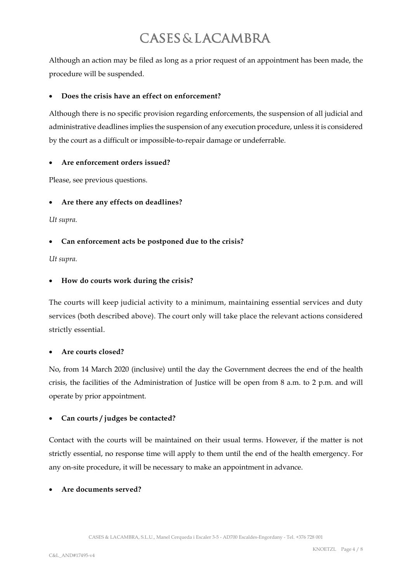Although an action may be filed as long as a prior request of an appointment has been made, the procedure will be suspended.

#### Does the crisis have an effect on enforcement?

Although there is no specific provision regarding enforcements, the suspension of all judicial and administrative deadlines implies the suspension of any execution procedure, unless it is considered by the court as a difficult or impossible-to-repair damage or undeferrable.

#### Are enforcement orders issued?

Please, see previous questions.

### Are there any effects on deadlines?

Ut supra.

### Can enforcement acts be postponed due to the crisis?

Ut supra.

### How do courts work during the crisis?

The courts will keep judicial activity to a minimum, maintaining essential services and duty services (both described above). The court only will take place the relevant actions considered strictly essential.

#### Are courts closed?

No, from 14 March 2020 (inclusive) until the day the Government decrees the end of the health crisis, the facilities of the Administration of Justice will be open from 8 a.m. to 2 p.m. and will operate by prior appointment.

### Can courts / judges be contacted?

Contact with the courts will be maintained on their usual terms. However, if the matter is not strictly essential, no response time will apply to them until the end of the health emergency. For any on-site procedure, it will be necessary to make an appointment in advance.

### Are documents served?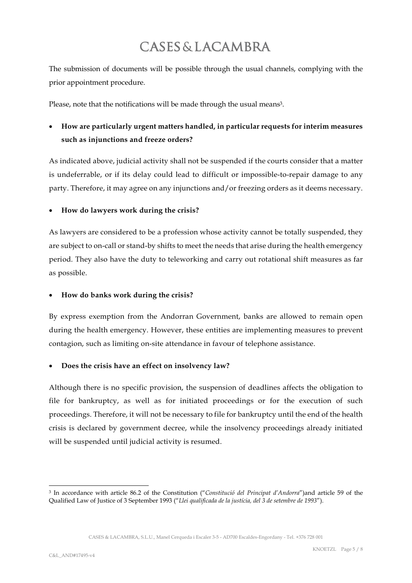The submission of documents will be possible through the usual channels, complying with the prior appointment procedure.

Please, note that the notifications will be made through the usual means<sup>3</sup>.

# How are particularly urgent matters handled, in particular requests for interim measures such as injunctions and freeze orders?

As indicated above, judicial activity shall not be suspended if the courts consider that a matter is undeferrable, or if its delay could lead to difficult or impossible-to-repair damage to any party. Therefore, it may agree on any injunctions and/or freezing orders as it deems necessary.

### How do lawyers work during the crisis?

As lawyers are considered to be a profession whose activity cannot be totally suspended, they are subject to on-call or stand-by shifts to meet the needs that arise during the health emergency period. They also have the duty to teleworking and carry out rotational shift measures as far as possible.

## How do banks work during the crisis?

By express exemption from the Andorran Government, banks are allowed to remain open during the health emergency. However, these entities are implementing measures to prevent contagion, such as limiting on-site attendance in favour of telephone assistance.

### Does the crisis have an effect on insolvency law?

Although there is no specific provision, the suspension of deadlines affects the obligation to file for bankruptcy, as well as for initiated proceedings or for the execution of such proceedings. Therefore, it will not be necessary to file for bankruptcy until the end of the health crisis is declared by government decree, while the insolvency proceedings already initiated will be suspended until judicial activity is resumed.

CASES & LACAMBRA, S.L.U., Manel Cerqueda i Escaler 3-5 - AD700 Escaldes-Engordany - Tel. +376 728 001

<sup>3</sup> In accordance with article 86.2 of the Constitution ("Constitució del Principat d'Andorra")and article 59 of the Qualified Law of Justice of 3 September 1993 ("Llei qualificada de la justícia, del 3 de setembre de 1993").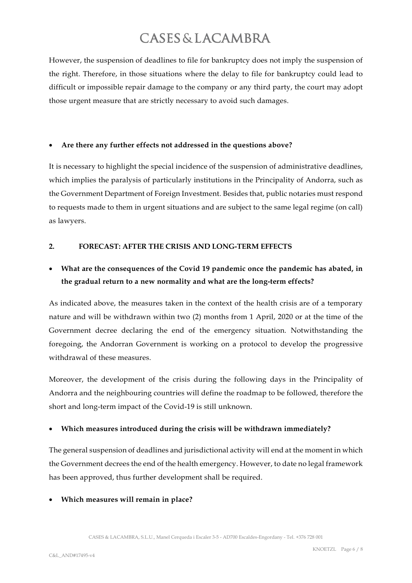However, the suspension of deadlines to file for bankruptcy does not imply the suspension of the right. Therefore, in those situations where the delay to file for bankruptcy could lead to difficult or impossible repair damage to the company or any third party, the court may adopt those urgent measure that are strictly necessary to avoid such damages.

#### Are there any further effects not addressed in the questions above?

It is necessary to highlight the special incidence of the suspension of administrative deadlines, which implies the paralysis of particularly institutions in the Principality of Andorra, such as the Government Department of Foreign Investment. Besides that, public notaries must respond to requests made to them in urgent situations and are subject to the same legal regime (on call) as lawyers.

#### 2. FORECAST: AFTER THE CRISIS AND LONG-TERM EFFECTS

# What are the consequences of the Covid 19 pandemic once the pandemic has abated, in the gradual return to a new normality and what are the long-term effects?

As indicated above, the measures taken in the context of the health crisis are of a temporary nature and will be withdrawn within two (2) months from 1 April, 2020 or at the time of the Government decree declaring the end of the emergency situation. Notwithstanding the foregoing, the Andorran Government is working on a protocol to develop the progressive withdrawal of these measures.

Moreover, the development of the crisis during the following days in the Principality of Andorra and the neighbouring countries will define the roadmap to be followed, therefore the short and long-term impact of the Covid-19 is still unknown.

### Which measures introduced during the crisis will be withdrawn immediately?

The general suspension of deadlines and jurisdictional activity will end at the moment in which the Government decrees the end of the health emergency. However, to date no legal framework has been approved, thus further development shall be required.

### Which measures will remain in place?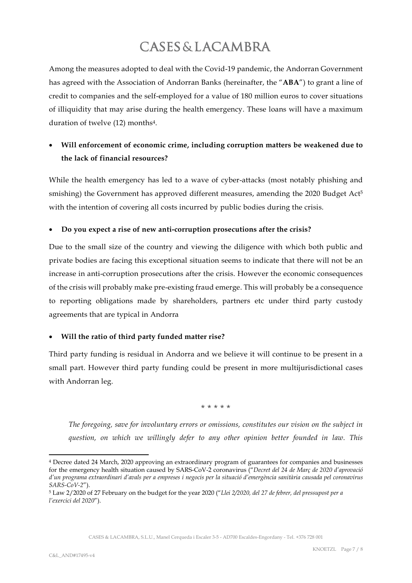Among the measures adopted to deal with the Covid-19 pandemic, the Andorran Government has agreed with the Association of Andorran Banks (hereinafter, the "ABA") to grant a line of credit to companies and the self-employed for a value of 180 million euros to cover situations of illiquidity that may arise during the health emergency. These loans will have a maximum duration of twelve (12) months4.

# Will enforcement of economic crime, including corruption matters be weakened due to the lack of financial resources?

While the health emergency has led to a wave of cyber-attacks (most notably phishing and smishing) the Government has approved different measures, amending the 2020 Budget Act<sup>5</sup> with the intention of covering all costs incurred by public bodies during the crisis.

## Do you expect a rise of new anti-corruption prosecutions after the crisis?

Due to the small size of the country and viewing the diligence with which both public and private bodies are facing this exceptional situation seems to indicate that there will not be an increase in anti-corruption prosecutions after the crisis. However the economic consequences of the crisis will probably make pre-existing fraud emerge. This will probably be a consequence to reporting obligations made by shareholders, partners etc under third party custody agreements that are typical in Andorra

### Will the ratio of third party funded matter rise?

Third party funding is residual in Andorra and we believe it will continue to be present in a small part. However third party funding could be present in more multijurisdictional cases with Andorran leg.

\* \* \* \* \*

The foregoing, save for involuntary errors or omissions, constitutes our vision on the subject in question, on which we willingly defer to any other opinion better founded in law. This

<sup>4</sup> Decree dated 24 March, 2020 approving an extraordinary program of guarantees for companies and businesses for the emergency health situation caused by SARS-CoV-2 coronavirus ("Decret del 24 de Març de 2020 d'aprovació d'un programa extraordinari d'avals per a empreses i negocis per la situació d'emergència sanitària causada pel coronavirus  $SARS-CoV-2"$ ).

<sup>5</sup> Law 2/2020 of 27 February on the budget for the year 2020 ("Llei 2/2020, del 27 de febrer, del pressupost per a l'exercici del 2020").